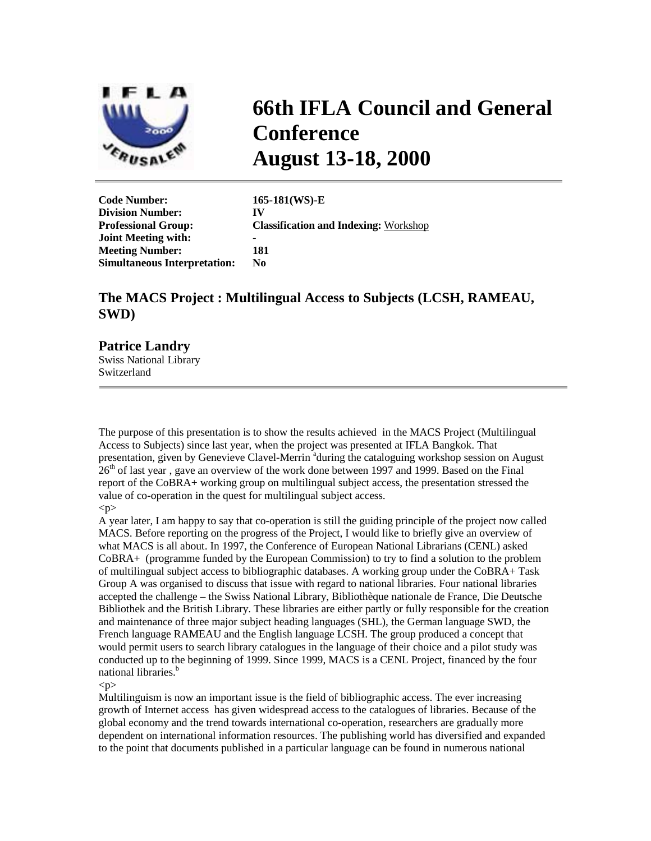

# **66th IFLA Council and General Conference August 13-18, 2000**

**Code Number: 165-181(WS)-E Division Number: IV Joint Meeting with:** - **Meeting Number: 181 Simultaneous Interpretation: No** 

**Professional Group: Classification and Indexing:** Workshop

# **The MACS Project : Multilingual Access to Subjects (LCSH, RAMEAU, SWD)**

## **Patrice Landry**

Swiss National Library Switzerland

The purpose of this presentation is to show the results achieved in the MACS Project (Multilingual Access to Subjects) since last year, when the project was presented at IFLA Bangkok. That presentation, given by Genevieve Clavel-Merrin <sup>a</sup>during the cataloguing workshop session on August  $26<sup>th</sup>$  of last year, gave an overview of the work done between 1997 and 1999. Based on the Final report of the CoBRA+ working group on multilingual subject access, the presentation stressed the value of co-operation in the quest for multilingual subject access.

 $p$ 

A year later, I am happy to say that co-operation is still the guiding principle of the project now called MACS. Before reporting on the progress of the Project, I would like to briefly give an overview of what MACS is all about. In 1997, the Conference of European National Librarians (CENL) asked CoBRA+ (programme funded by the European Commission) to try to find a solution to the problem of multilingual subject access to bibliographic databases. A working group under the CoBRA+ Task Group A was organised to discuss that issue with regard to national libraries. Four national libraries accepted the challenge – the Swiss National Library, Bibliothèque nationale de France, Die Deutsche Bibliothek and the British Library. These libraries are either partly or fully responsible for the creation and maintenance of three major subject heading languages (SHL), the German language SWD, the French language RAMEAU and the English language LCSH. The group produced a concept that would permit users to search library catalogues in the language of their choice and a pilot study was conducted up to the beginning of 1999. Since 1999, MACS is a CENL Project, financed by the four national libraries.<sup>b</sup>

 $< p >$ 

Multilinguism is now an important issue is the field of bibliographic access. The ever increasing growth of Internet access has given widespread access to the catalogues of libraries. Because of the global economy and the trend towards international co-operation, researchers are gradually more dependent on international information resources. The publishing world has diversified and expanded to the point that documents published in a particular language can be found in numerous national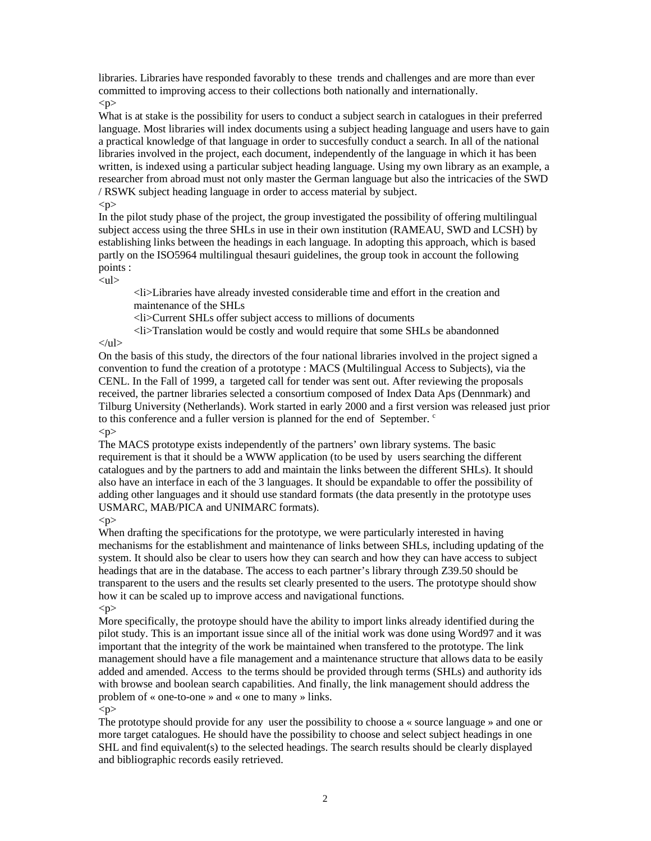libraries. Libraries have responded favorably to these trends and challenges and are more than ever committed to improving access to their collections both nationally and internationally.  $p$ 

What is at stake is the possibility for users to conduct a subject search in catalogues in their preferred language. Most libraries will index documents using a subject heading language and users have to gain a practical knowledge of that language in order to succesfully conduct a search. In all of the national libraries involved in the project, each document, independently of the language in which it has been written, is indexed using a particular subject heading language. Using my own library as an example, a researcher from abroad must not only master the German language but also the intricacies of the SWD / RSWK subject heading language in order to access material by subject.

#### $p$

In the pilot study phase of the project, the group investigated the possibility of offering multilingual subject access using the three SHLs in use in their own institution (RAMEAU, SWD and LCSH) by establishing links between the headings in each language. In adopting this approach, which is based partly on the ISO5964 multilingual thesauri guidelines, the group took in account the following points :

#### $<$ ul $>$

<li>Libraries have already invested considerable time and effort in the creation and maintenance of the SHLs

<li>Current SHLs offer subject access to millions of documents

<li>Translation would be costly and would require that some SHLs be abandonned

#### $\langle \text{ul} \rangle$

On the basis of this study, the directors of the four national libraries involved in the project signed a convention to fund the creation of a prototype : MACS (Multilingual Access to Subjects), via the CENL. In the Fall of 1999, a targeted call for tender was sent out. After reviewing the proposals received, the partner libraries selected a consortium composed of Index Data Aps (Dennmark) and Tilburg University (Netherlands). Work started in early 2000 and a first version was released just prior to this conference and a fuller version is planned for the end of September. <sup>c</sup>

 $< p >$ 

The MACS prototype exists independently of the partners' own library systems. The basic requirement is that it should be a WWW application (to be used by users searching the different catalogues and by the partners to add and maintain the links between the different SHLs). It should also have an interface in each of the 3 languages. It should be expandable to offer the possibility of adding other languages and it should use standard formats (the data presently in the prototype uses USMARC, MAB/PICA and UNIMARC formats).

#### $< p >$

When drafting the specifications for the prototype, we were particularly interested in having mechanisms for the establishment and maintenance of links between SHLs, including updating of the system. It should also be clear to users how they can search and how they can have access to subject headings that are in the database. The access to each partner's library through Z39.50 should be transparent to the users and the results set clearly presented to the users. The prototype should show how it can be scaled up to improve access and navigational functions.

#### $< p >$

More specifically, the protoype should have the ability to import links already identified during the pilot study. This is an important issue since all of the initial work was done using Word97 and it was important that the integrity of the work be maintained when transfered to the prototype. The link management should have a file management and a maintenance structure that allows data to be easily added and amended. Access to the terms should be provided through terms (SHLs) and authority ids with browse and boolean search capabilities. And finally, the link management should address the problem of « one-to-one » and « one to many » links.  $\langle n \rangle$ 

The prototype should provide for any user the possibility to choose a « source language » and one or more target catalogues. He should have the possibility to choose and select subject headings in one SHL and find equivalent(s) to the selected headings. The search results should be clearly displayed and bibliographic records easily retrieved.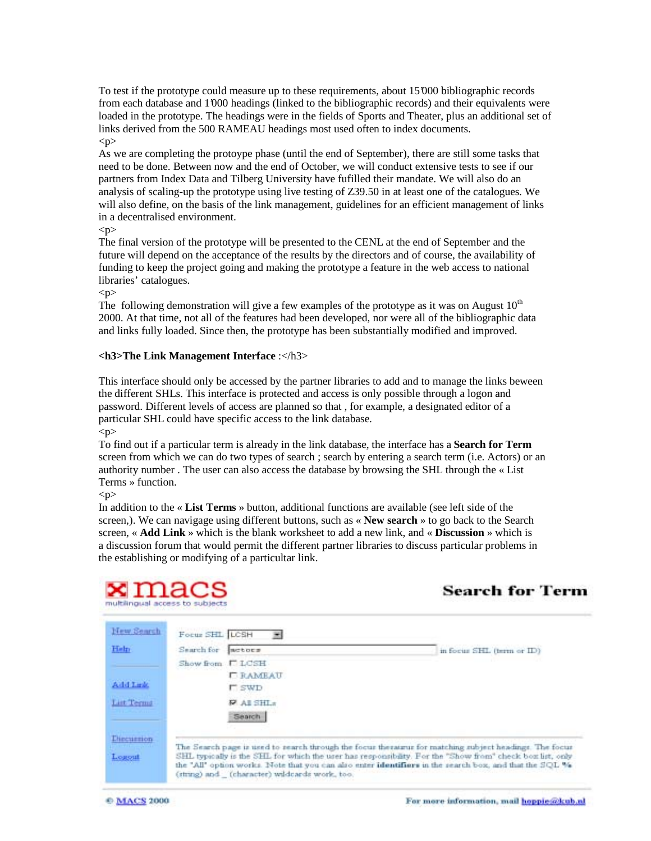To test if the prototype could measure up to these requirements, about 15'000 bibliographic records from each database and 1'000 headings (linked to the bibliographic records) and their equivalents were loaded in the prototype. The headings were in the fields of Sports and Theater, plus an additional set of links derived from the 500 RAMEAU headings most used often to index documents.  $< p >$ 

As we are completing the protoype phase (until the end of September), there are still some tasks that need to be done. Between now and the end of October, we will conduct extensive tests to see if our partners from Index Data and Tilberg University have fufilled their mandate. We will also do an analysis of scaling-up the prototype using live testing of Z39.50 in at least one of the catalogues. We will also define, on the basis of the link management, guidelines for an efficient management of links in a decentralised environment.

 $<$ p $>$ 

The final version of the prototype will be presented to the CENL at the end of September and the future will depend on the acceptance of the results by the directors and of course, the availability of funding to keep the project going and making the prototype a feature in the web access to national libraries' catalogues.

 $p$ 

The following demonstration will give a few examples of the prototype as it was on August  $10<sup>th</sup>$ 2000. At that time, not all of the features had been developed, nor were all of the bibliographic data and links fully loaded. Since then, the prototype has been substantially modified and improved.

#### **<h3>The Link Management Interface** :</h3>

This interface should only be accessed by the partner libraries to add and to manage the links beween the different SHLs. This interface is protected and access is only possible through a logon and password. Different levels of access are planned so that , for example, a designated editor of a particular SHL could have specific access to the link database.

 $< p >$ 

To find out if a particular term is already in the link database, the interface has a **Search for Term** screen from which we can do two types of search ; search by entering a search term (i.e. Actors) or an authority number . The user can also access the database by browsing the SHL through the « List Terms » function.

 $< p >$ 

In addition to the « **List Terms** » button, additional functions are available (see left side of the screen,). We can navigage using different buttons, such as « **New search** » to go back to the Search screen, « **Add Link** » which is the blank worksheet to add a new link, and « **Discussion** » which is a discussion forum that would permit the different partner libraries to discuss particular problems in the establishing or modifying of a particultar link.

| $\tt x$ macs<br>multilingual access to subjects |                                               | <b>Search for Term</b>                                                                                                                                                                                                                                                                                                       |
|-------------------------------------------------|-----------------------------------------------|------------------------------------------------------------------------------------------------------------------------------------------------------------------------------------------------------------------------------------------------------------------------------------------------------------------------------|
| New Search                                      | Focus SHL LCSH<br>医                           |                                                                                                                                                                                                                                                                                                                              |
| Help                                            | Search for<br>metors                          | in focus SHL (term or ID)                                                                                                                                                                                                                                                                                                    |
|                                                 | <b>ELCSH</b><br>Show from                     |                                                                                                                                                                                                                                                                                                                              |
| Add Lett.                                       | <b>LEAMEAU</b><br><b>F</b> SWD                |                                                                                                                                                                                                                                                                                                                              |
| Litt Terms                                      | <b>PAISHL:</b><br>Search                      |                                                                                                                                                                                                                                                                                                                              |
| <b>Thecurrion</b>                               |                                               |                                                                                                                                                                                                                                                                                                                              |
| Logout                                          | (string) and (character) wildcards work, too. | The Search page is used to search through the focus thesaurus for matching subject headings. The focus<br>SHL typically is the SHL for which the user has responsibility. For the "Show from" check box list, only<br>the "All" option works. Note that you can also enter identifiers in the search box, and that the SQL % |

**© MACS 2000**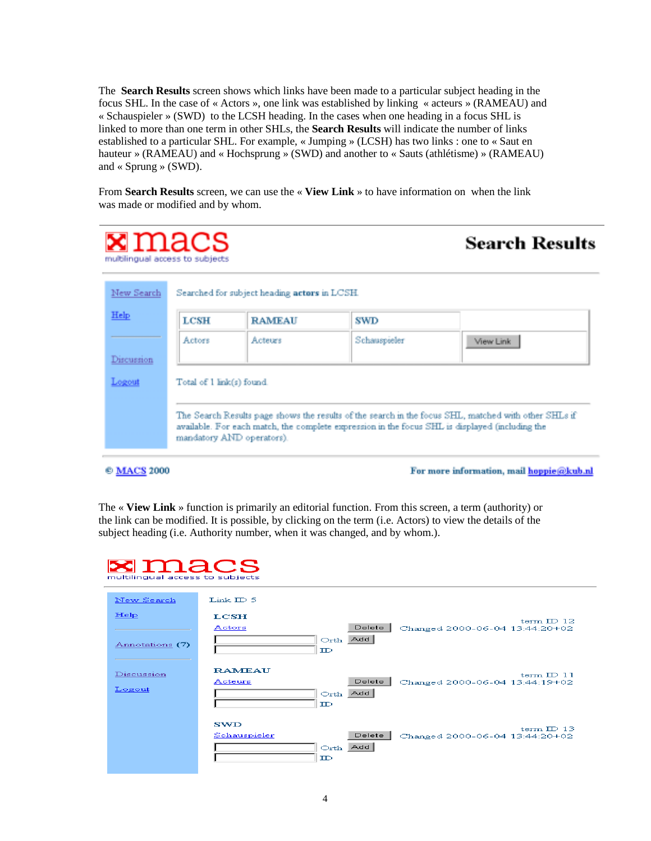The **Search Results** screen shows which links have been made to a particular subject heading in the focus SHL. In the case of « Actors », one link was established by linking « acteurs » (RAMEAU) and « Schauspieler » (SWD) to the LCSH heading. In the cases when one heading in a focus SHL is linked to more than one term in other SHLs, the **Search Results** will indicate the number of links established to a particular SHL. For example, « Jumping » (LCSH) has two links : one to « Saut en hauteur » (RAMEAU) and « Hochsprung » (SWD) and another to « Sauts (athlétisme) » (RAMEAU) and « Sprung » (SWD).

From **Search Results** screen, we can use the « **View Link** » to have information on when the link was made or modified and by whom.

| ${\tt x}$ macs<br>multilingual access to subjects |                           |                                              |              | <b>Search Results</b>                                                                                                                                                                                   |
|---------------------------------------------------|---------------------------|----------------------------------------------|--------------|---------------------------------------------------------------------------------------------------------------------------------------------------------------------------------------------------------|
| New Search                                        |                           | Searched for subject heading actors in LCSH. |              |                                                                                                                                                                                                         |
| Help                                              | LCSH                      | <b>RAMEAU</b>                                | SWD          |                                                                                                                                                                                                         |
|                                                   | Actors                    | Acteurs                                      | Schauspieler | View Link                                                                                                                                                                                               |
| Discussion                                        |                           |                                              |              |                                                                                                                                                                                                         |
| Logout                                            | Total of 1 link(s) found. |                                              |              |                                                                                                                                                                                                         |
|                                                   |                           | mandatory AND operators).                    |              | The Search Results page shows the results of the search in the focus SHL, matched with other SHLs if<br>available. For each match, the complete expression in the focus SHL is displayed (including the |
| <b>© MACS 2000</b>                                |                           |                                              |              | For more information, mail hoppie@kub.nl                                                                                                                                                                |

The « **View Link** » function is primarily an editorial function. From this screen, a term (authority) or the link can be modified. It is possible, by clicking on the term (i.e. Actors) to view the details of the subject heading (i.e. Authority number, when it was changed, and by whom.).

 **macs** 

| multilingual access to subjects |                                                                                                                 |
|---------------------------------|-----------------------------------------------------------------------------------------------------------------|
| New Search                      | Link $ID5$                                                                                                      |
| He1p<br>Annotations (7)         | <b>LCSH</b><br>term $ID$ 12<br>Delete<br>Actors<br>Changed 2000-06-04 13:44:20+02<br>Orth Add<br>$\mathbb{D}$   |
| Discussion<br>Logout            | <b>RAMEAU</b><br>term $ID$ 11<br>Delete<br>Acteurs<br>Changed 2000-06-04 13:44:19+02<br>Orth Add<br>$_{\rm ID}$ |
|                                 | <b>SWD</b><br>term $ID$ 13<br>Delete<br>Schauspieler<br>Changed 2000-06-04 13:44:20+02<br>Orth Add<br>ID        |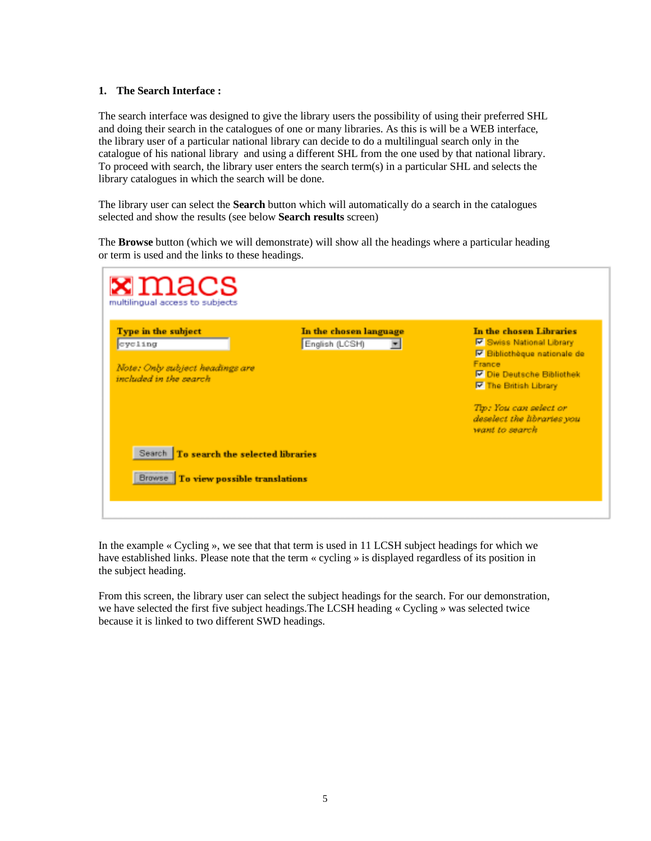#### **1. The Search Interface :**

The search interface was designed to give the library users the possibility of using their preferred SHL and doing their search in the catalogues of one or many libraries. As this is will be a WEB interface, the library user of a particular national library can decide to do a multilingual search only in the catalogue of his national library and using a different SHL from the one used by that national library. To proceed with search, the library user enters the search term(s) in a particular SHL and selects the library catalogues in which the search will be done.

The library user can select the **Search** button which will automatically do a search in the catalogues selected and show the results (see below **Search results** screen)

The **Browse** button (which we will demonstrate) will show all the headings where a particular heading or term is used and the links to these headings.

| ${\tt x}$ macs<br>multilingual access to subjects                                            |                                                                      |                                                                                                                                                                                                                                                            |  |  |  |
|----------------------------------------------------------------------------------------------|----------------------------------------------------------------------|------------------------------------------------------------------------------------------------------------------------------------------------------------------------------------------------------------------------------------------------------------|--|--|--|
| Type in the subject<br>cycling<br>Note: Only subject headings are<br>included in the search. | In the chosen language<br>English (LCSH)<br>$\overline{\phantom{a}}$ | In the chosen Libraries<br><b>IV Swiss National Library</b><br><b>Ø Bibliothèque nationale de</b><br>France<br><b>▶ Die Deutsche Bibliothek</b><br><b>E</b> The British Library<br>Tip: You can select or<br>deselect the libraries you<br>want to search. |  |  |  |
| Search To search the selected libraries<br>To view possible translations<br><b>Browse</b>    |                                                                      |                                                                                                                                                                                                                                                            |  |  |  |

In the example « Cycling », we see that that term is used in 11 LCSH subject headings for which we have established links. Please note that the term « cycling » is displayed regardless of its position in the subject heading.

From this screen, the library user can select the subject headings for the search. For our demonstration, we have selected the first five subject headings.The LCSH heading « Cycling » was selected twice because it is linked to two different SWD headings.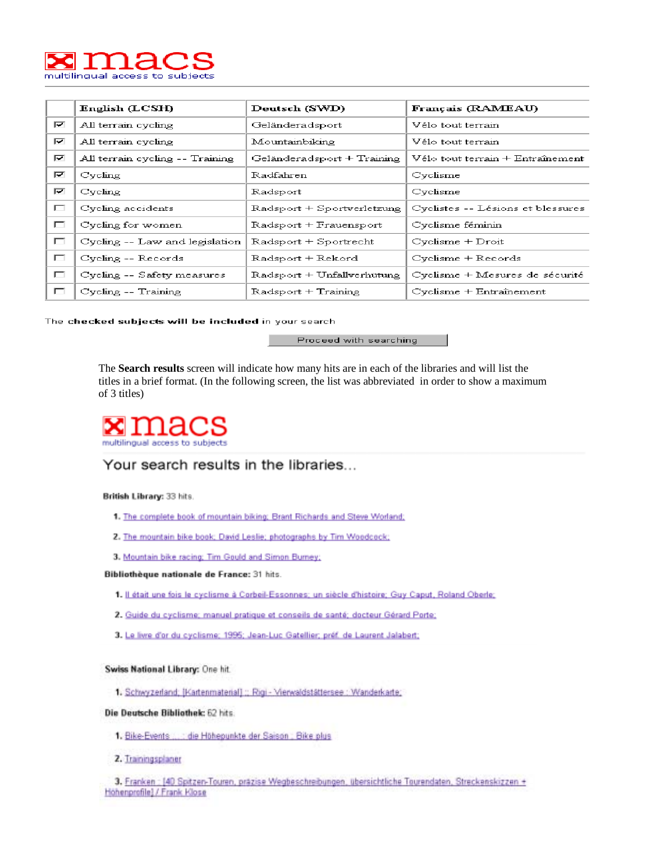

|        | English (LCSH)                  | Deutsch (SWD)              | Français (RAMEAU)                 |
|--------|---------------------------------|----------------------------|-----------------------------------|
| ⊽      | All terrain cycling             | Geländeradsport            | Vélo tout terrain                 |
| r      | All terrain cycling             | Mountainbiking             | Vélo tout terrain                 |
| r      | All terrain cycling -- Training | Geländeradsport + Training | Vélo tout terrain + Entraînement  |
| ⊽      | Cycling                         | Radfahren                  | Cyclisme                          |
| ⊽      | Cycling                         | Radsport                   | Cyclisme                          |
| $\Box$ | Cycling accidents               | Radsport + Sportverletzung | Cyclistes -- Lésions et blessures |
| $\Box$ | Cycling for women               | Radsport + Frauensport     | Cyclisme féminin                  |
| П      | Cycling -- Law and legislation  | Radsport + Sportrecht      | $C$ yclisme + $D$ roit            |
| П      | Cycling -- Records              | Radsport + Rekord          | Cyclisme + Records                |
| $\Box$ | Cycling -- Safety measures      | Radsport + Unfallverhütung | Cyclisme + Mesures de sécurité    |
| П      | Cycling -- Training             | Radsport + Training        | $Cyclisme + Entraînement$         |

The checked subjects will be included in your search

Proceed with searching

The **Search results** screen will indicate how many hits are in each of the libraries and will list the titles in a brief format. (In the following screen, the list was abbreviated in order to show a maximum of 3 titles)



### Your search results in the libraries...

British Library: 33 hits.

- 1. The complete book of mountain biking; Brant Richards and Steve Worland;
- 2. The mountain bike book; David Leslie; photographs by Tim Woodcock;
- 3. Mountain bike racing; Tim Gould and Simon Burney;

#### Bibliothèque nationale de France: 31 hits.

- 1. Il était une fois le cyclisme à Corbeil-Essonnes; un siècle d'histoire; Guy Caput, Roland Oberle;
- 2. Guide du cyclisme; manuel pratique et conseils de santé; docteur Gérard Porte;
- 3. Le livre d'or du cyclisme; 1995; Jean-Luc Gatellier; préf. de Laurent Jalabert;

Swiss National Library: One hit.

1. Schwyzerland: IKartenmaterial1 :: Rigi - Vierwaldstättersee : Wanderkarte;

Die Deutsche Bibliothek: 62 hits.

- 1. Bike-Events ...: die Höhepunkte der Saison ; Bike plus
- 2. Trainingsplaner
- 3. Franken : [40 Spitzen-Touren, präzise Wegbeschreibungen, übersichtliche Tourendaten, Streckenskizzen + Hohenprofile} / Frank Klose